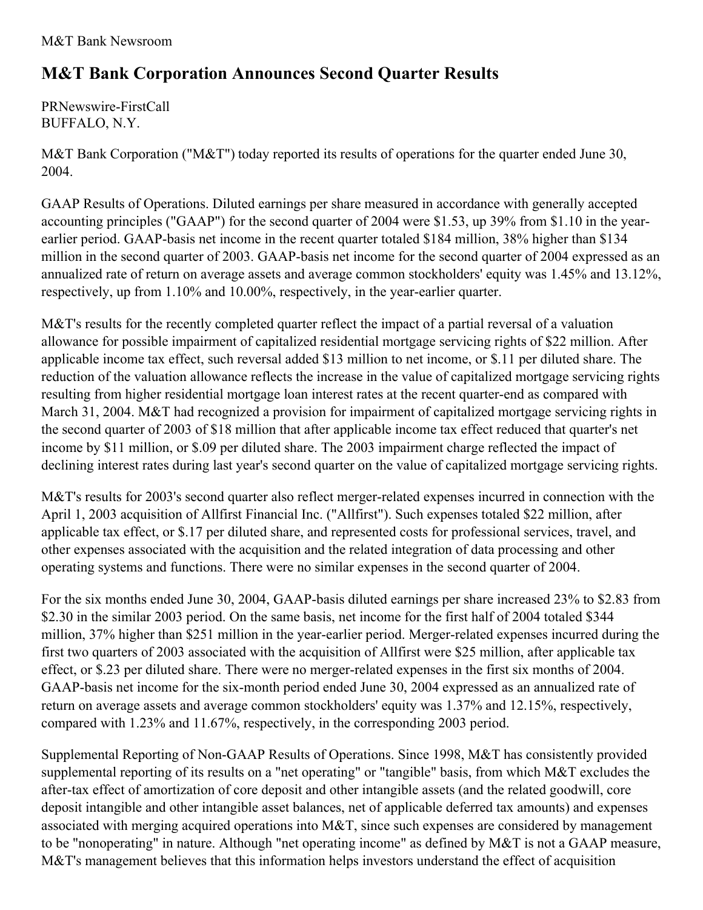## **M&T Bank Corporation Announces Second Quarter Results**

PRNewswire-FirstCall BUFFALO, N.Y.

M&T Bank Corporation ("M&T") today reported its results of operations for the quarter ended June 30, 2004.

GAAP Results of Operations. Diluted earnings per share measured in accordance with generally accepted accounting principles ("GAAP") for the second quarter of 2004 were \$1.53, up 39% from \$1.10 in the yearearlier period. GAAP-basis net income in the recent quarter totaled \$184 million, 38% higher than \$134 million in the second quarter of 2003. GAAP-basis net income for the second quarter of 2004 expressed as an annualized rate of return on average assets and average common stockholders' equity was 1.45% and 13.12%, respectively, up from 1.10% and 10.00%, respectively, in the year-earlier quarter.

M&T's results for the recently completed quarter reflect the impact of a partial reversal of a valuation allowance for possible impairment of capitalized residential mortgage servicing rights of \$22 million. After applicable income tax effect, such reversal added \$13 million to net income, or \$.11 per diluted share. The reduction of the valuation allowance reflects the increase in the value of capitalized mortgage servicing rights resulting from higher residential mortgage loan interest rates at the recent quarter-end as compared with March 31, 2004. M&T had recognized a provision for impairment of capitalized mortgage servicing rights in the second quarter of 2003 of \$18 million that after applicable income tax effect reduced that quarter's net income by \$11 million, or \$.09 per diluted share. The 2003 impairment charge reflected the impact of declining interest rates during last year's second quarter on the value of capitalized mortgage servicing rights.

M&T's results for 2003's second quarter also reflect merger-related expenses incurred in connection with the April 1, 2003 acquisition of Allfirst Financial Inc. ("Allfirst"). Such expenses totaled \$22 million, after applicable tax effect, or \$.17 per diluted share, and represented costs for professional services, travel, and other expenses associated with the acquisition and the related integration of data processing and other operating systems and functions. There were no similar expenses in the second quarter of 2004.

For the six months ended June 30, 2004, GAAP-basis diluted earnings per share increased 23% to \$2.83 from \$2.30 in the similar 2003 period. On the same basis, net income for the first half of 2004 totaled \$344 million, 37% higher than \$251 million in the year-earlier period. Merger-related expenses incurred during the first two quarters of 2003 associated with the acquisition of Allfirst were \$25 million, after applicable tax effect, or \$.23 per diluted share. There were no merger-related expenses in the first six months of 2004. GAAP-basis net income for the six-month period ended June 30, 2004 expressed as an annualized rate of return on average assets and average common stockholders' equity was 1.37% and 12.15%, respectively, compared with 1.23% and 11.67%, respectively, in the corresponding 2003 period.

Supplemental Reporting of Non-GAAP Results of Operations. Since 1998, M&T has consistently provided supplemental reporting of its results on a "net operating" or "tangible" basis, from which M&T excludes the after-tax effect of amortization of core deposit and other intangible assets (and the related goodwill, core deposit intangible and other intangible asset balances, net of applicable deferred tax amounts) and expenses associated with merging acquired operations into M&T, since such expenses are considered by management to be "nonoperating" in nature. Although "net operating income" as defined by M&T is not a GAAP measure, M&T's management believes that this information helps investors understand the effect of acquisition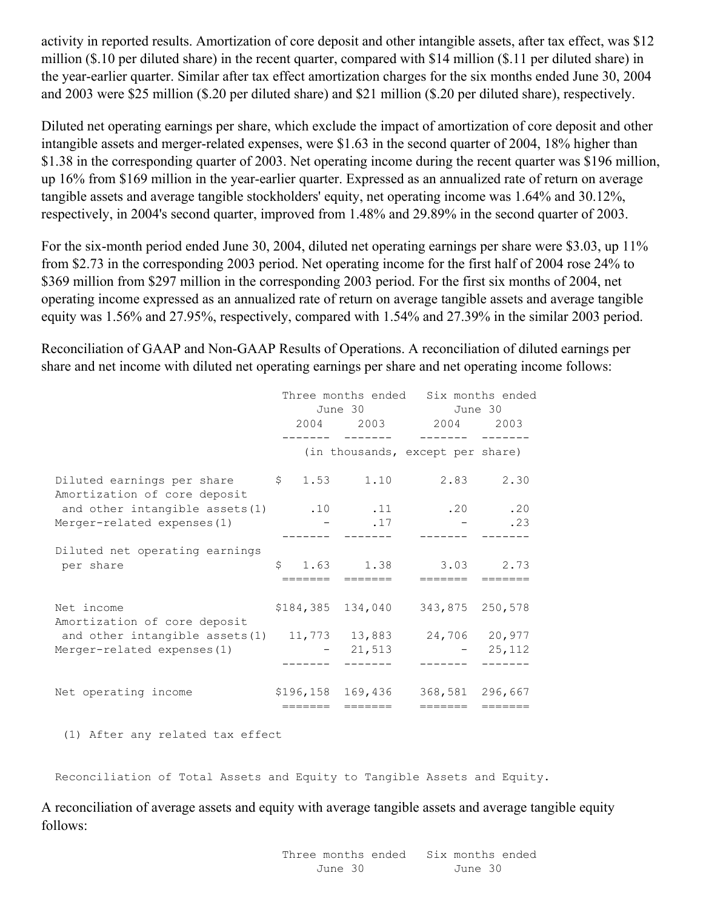activity in reported results. Amortization of core deposit and other intangible assets, after tax effect, was \$12 million (\$.10 per diluted share) in the recent quarter, compared with \$14 million (\$.11 per diluted share) in the year-earlier quarter. Similar after tax effect amortization charges for the six months ended June 30, 2004 and 2003 were \$25 million (\$.20 per diluted share) and \$21 million (\$.20 per diluted share), respectively.

Diluted net operating earnings per share, which exclude the impact of amortization of core deposit and other intangible assets and merger-related expenses, were \$1.63 in the second quarter of 2004, 18% higher than \$1.38 in the corresponding quarter of 2003. Net operating income during the recent quarter was \$196 million, up 16% from \$169 million in the year-earlier quarter. Expressed as an annualized rate of return on average tangible assets and average tangible stockholders' equity, net operating income was 1.64% and 30.12%, respectively, in 2004's second quarter, improved from 1.48% and 29.89% in the second quarter of 2003.

For the six-month period ended June 30, 2004, diluted net operating earnings per share were \$3.03, up 11% from \$2.73 in the corresponding 2003 period. Net operating income for the first half of 2004 rose 24% to \$369 million from \$297 million in the corresponding 2003 period. For the first six months of 2004, net operating income expressed as an annualized rate of return on average tangible assets and average tangible equity was 1.56% and 27.95%, respectively, compared with 1.54% and 27.39% in the similar 2003 period.

Reconciliation of GAAP and Non-GAAP Results of Operations. A reconciliation of diluted earnings per share and net income with diluted net operating earnings per share and net operating income follows:

|                                                                                            |   | Three months ended Six months ended |               |     | June 30 June 30<br>2004 2003 2004 2003 |         |               |     |
|--------------------------------------------------------------------------------------------|---|-------------------------------------|---------------|-----|----------------------------------------|---------|---------------|-----|
|                                                                                            |   |                                     |               |     |                                        |         |               |     |
|                                                                                            |   |                                     |               |     | (in thousands, except per share)       |         |               |     |
| Diluted earnings per share $\qquad$ \$ 1.53 1.10 2.83 2.30<br>Amortization of core deposit |   |                                     |               |     |                                        |         |               |     |
| and other intangible assets (1)                                                            |   |                                     | $.10$ $.11$   |     |                                        |         | $.20$ $.20$   |     |
| Merger-related expenses $(1)$                                                              |   |                                     |               | .17 |                                        |         |               | .23 |
| Diluted net operating earnings                                                             | S |                                     | $1.63$ $1.38$ |     |                                        |         | $3.03$ $2.73$ |     |
| per share                                                                                  |   |                                     |               |     |                                        | ======= |               |     |
| Net income<br>Amortization of core deposit                                                 |   | \$184,385 134,040 343,875 250,578   |               |     |                                        |         |               |     |
| and other intangible assets (1) 11,773 13,883 24,706 20,977                                |   |                                     |               |     |                                        |         |               |     |
| Merger-related expenses (1)                                                                |   |                                     | $-21,513$     |     |                                        |         | $-25,112$     |     |
|                                                                                            |   |                                     |               |     |                                        |         |               |     |
| Net operating income                                                                       |   | \$196,158 169,436 368,581 296,667   | =======       |     | =======                                |         |               |     |

(1) After any related tax effect

Reconciliation of Total Assets and Equity to Tangible Assets and Equity.

A reconciliation of average assets and equity with average tangible assets and average tangible equity follows: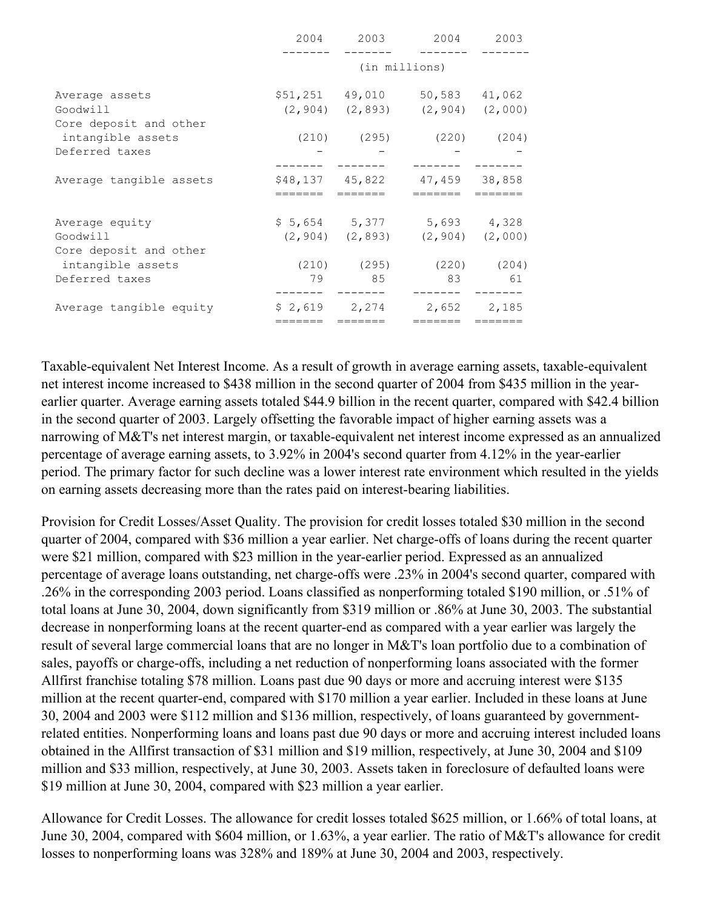|                                                      |         |               | 2004 2003 2004 2003                                                                |  |
|------------------------------------------------------|---------|---------------|------------------------------------------------------------------------------------|--|
|                                                      |         | (in millions) |                                                                                    |  |
| Average assets<br>Goodwill<br>Core deposit and other |         |               | \$51,251 49,010 50,583 41,062<br>$(2, 904)$ $(2, 893)$ $(2, 904)$ $(2, 000)$       |  |
| intangible assets<br>Deferred taxes                  |         |               | $(210)$ $(295)$ $(220)$ $(204)$                                                    |  |
| Average tangible assets                              |         |               | \$48,137 45,822 47,459 38,858                                                      |  |
| Average equity<br>Goodwill<br>Core deposit and other |         |               | $$5,654$ $$5,377$ $$5,693$ $$4,328$<br>$(2, 904)$ $(2, 893)$ $(2, 904)$ $(2, 000)$ |  |
| intangible assets<br>Deferred taxes                  |         |               | $(210)$ $(295)$ $(220)$ $(204)$<br>79 85 83 61                                     |  |
| Average tangible equity                              | ======= | =======       | $$2,619$ $2,274$ $2,652$ $2,185$<br>=======                                        |  |

Taxable-equivalent Net Interest Income. As a result of growth in average earning assets, taxable-equivalent net interest income increased to \$438 million in the second quarter of 2004 from \$435 million in the yearearlier quarter. Average earning assets totaled \$44.9 billion in the recent quarter, compared with \$42.4 billion in the second quarter of 2003. Largely offsetting the favorable impact of higher earning assets was a narrowing of M&T's net interest margin, or taxable-equivalent net interest income expressed as an annualized percentage of average earning assets, to 3.92% in 2004's second quarter from 4.12% in the year-earlier period. The primary factor for such decline was a lower interest rate environment which resulted in the yields on earning assets decreasing more than the rates paid on interest-bearing liabilities.

Provision for Credit Losses/Asset Quality. The provision for credit losses totaled \$30 million in the second quarter of 2004, compared with \$36 million a year earlier. Net charge-offs of loans during the recent quarter were \$21 million, compared with \$23 million in the year-earlier period. Expressed as an annualized percentage of average loans outstanding, net charge-offs were .23% in 2004's second quarter, compared with .26% in the corresponding 2003 period. Loans classified as nonperforming totaled \$190 million, or .51% of total loans at June 30, 2004, down significantly from \$319 million or .86% at June 30, 2003. The substantial decrease in nonperforming loans at the recent quarter-end as compared with a year earlier was largely the result of several large commercial loans that are no longer in M&T's loan portfolio due to a combination of sales, payoffs or charge-offs, including a net reduction of nonperforming loans associated with the former Allfirst franchise totaling \$78 million. Loans past due 90 days or more and accruing interest were \$135 million at the recent quarter-end, compared with \$170 million a year earlier. Included in these loans at June 30, 2004 and 2003 were \$112 million and \$136 million, respectively, of loans guaranteed by governmentrelated entities. Nonperforming loans and loans past due 90 days or more and accruing interest included loans obtained in the Allfirst transaction of \$31 million and \$19 million, respectively, at June 30, 2004 and \$109 million and \$33 million, respectively, at June 30, 2003. Assets taken in foreclosure of defaulted loans were \$19 million at June 30, 2004, compared with \$23 million a year earlier.

Allowance for Credit Losses. The allowance for credit losses totaled \$625 million, or 1.66% of total loans, at June 30, 2004, compared with \$604 million, or 1.63%, a year earlier. The ratio of M&T's allowance for credit losses to nonperforming loans was 328% and 189% at June 30, 2004 and 2003, respectively.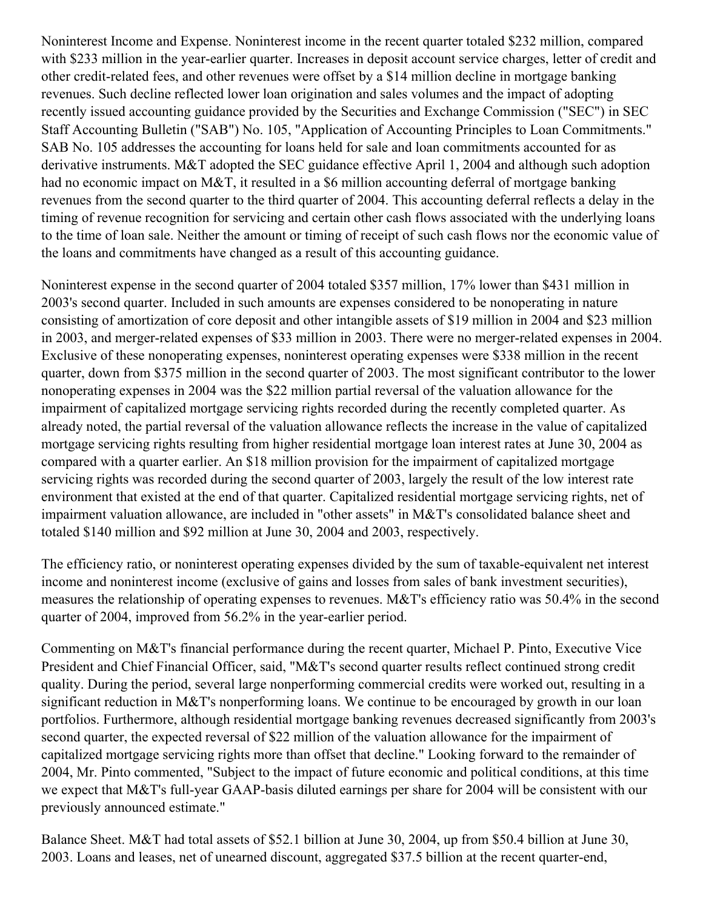Noninterest Income and Expense. Noninterest income in the recent quarter totaled \$232 million, compared with \$233 million in the year-earlier quarter. Increases in deposit account service charges, letter of credit and other credit-related fees, and other revenues were offset by a \$14 million decline in mortgage banking revenues. Such decline reflected lower loan origination and sales volumes and the impact of adopting recently issued accounting guidance provided by the Securities and Exchange Commission ("SEC") in SEC Staff Accounting Bulletin ("SAB") No. 105, "Application of Accounting Principles to Loan Commitments." SAB No. 105 addresses the accounting for loans held for sale and loan commitments accounted for as derivative instruments. M&T adopted the SEC guidance effective April 1, 2004 and although such adoption had no economic impact on M&T, it resulted in a \$6 million accounting deferral of mortgage banking revenues from the second quarter to the third quarter of 2004. This accounting deferral reflects a delay in the timing of revenue recognition for servicing and certain other cash flows associated with the underlying loans to the time of loan sale. Neither the amount or timing of receipt of such cash flows nor the economic value of the loans and commitments have changed as a result of this accounting guidance.

Noninterest expense in the second quarter of 2004 totaled \$357 million, 17% lower than \$431 million in 2003's second quarter. Included in such amounts are expenses considered to be nonoperating in nature consisting of amortization of core deposit and other intangible assets of \$19 million in 2004 and \$23 million in 2003, and merger-related expenses of \$33 million in 2003. There were no merger-related expenses in 2004. Exclusive of these nonoperating expenses, noninterest operating expenses were \$338 million in the recent quarter, down from \$375 million in the second quarter of 2003. The most significant contributor to the lower nonoperating expenses in 2004 was the \$22 million partial reversal of the valuation allowance for the impairment of capitalized mortgage servicing rights recorded during the recently completed quarter. As already noted, the partial reversal of the valuation allowance reflects the increase in the value of capitalized mortgage servicing rights resulting from higher residential mortgage loan interest rates at June 30, 2004 as compared with a quarter earlier. An \$18 million provision for the impairment of capitalized mortgage servicing rights was recorded during the second quarter of 2003, largely the result of the low interest rate environment that existed at the end of that quarter. Capitalized residential mortgage servicing rights, net of impairment valuation allowance, are included in "other assets" in M&T's consolidated balance sheet and totaled \$140 million and \$92 million at June 30, 2004 and 2003, respectively.

The efficiency ratio, or noninterest operating expenses divided by the sum of taxable-equivalent net interest income and noninterest income (exclusive of gains and losses from sales of bank investment securities), measures the relationship of operating expenses to revenues. M&T's efficiency ratio was 50.4% in the second quarter of 2004, improved from 56.2% in the year-earlier period.

Commenting on M&T's financial performance during the recent quarter, Michael P. Pinto, Executive Vice President and Chief Financial Officer, said, "M&T's second quarter results reflect continued strong credit quality. During the period, several large nonperforming commercial credits were worked out, resulting in a significant reduction in M&T's nonperforming loans. We continue to be encouraged by growth in our loan portfolios. Furthermore, although residential mortgage banking revenues decreased significantly from 2003's second quarter, the expected reversal of \$22 million of the valuation allowance for the impairment of capitalized mortgage servicing rights more than offset that decline." Looking forward to the remainder of 2004, Mr. Pinto commented, "Subject to the impact of future economic and political conditions, at this time we expect that M&T's full-year GAAP-basis diluted earnings per share for 2004 will be consistent with our previously announced estimate."

Balance Sheet. M&T had total assets of \$52.1 billion at June 30, 2004, up from \$50.4 billion at June 30, 2003. Loans and leases, net of unearned discount, aggregated \$37.5 billion at the recent quarter-end,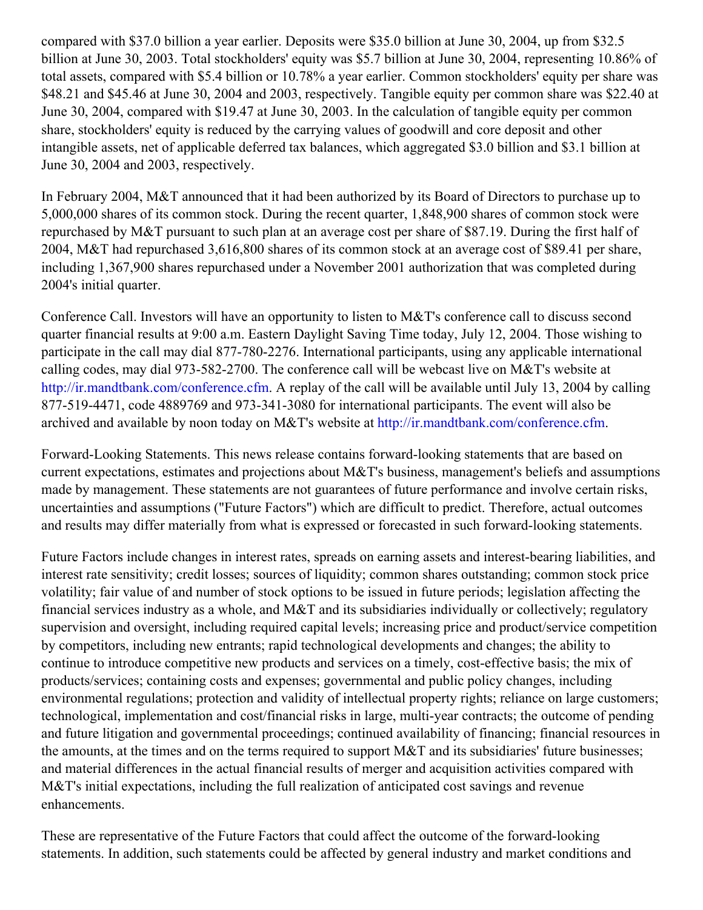compared with \$37.0 billion a year earlier. Deposits were \$35.0 billion at June 30, 2004, up from \$32.5 billion at June 30, 2003. Total stockholders' equity was \$5.7 billion at June 30, 2004, representing 10.86% of total assets, compared with \$5.4 billion or 10.78% a year earlier. Common stockholders' equity per share was \$48.21 and \$45.46 at June 30, 2004 and 2003, respectively. Tangible equity per common share was \$22.40 at June 30, 2004, compared with \$19.47 at June 30, 2003. In the calculation of tangible equity per common share, stockholders' equity is reduced by the carrying values of goodwill and core deposit and other intangible assets, net of applicable deferred tax balances, which aggregated \$3.0 billion and \$3.1 billion at June 30, 2004 and 2003, respectively.

In February 2004, M&T announced that it had been authorized by its Board of Directors to purchase up to 5,000,000 shares of its common stock. During the recent quarter, 1,848,900 shares of common stock were repurchased by M&T pursuant to such plan at an average cost per share of \$87.19. During the first half of 2004, M&T had repurchased 3,616,800 shares of its common stock at an average cost of \$89.41 per share, including 1,367,900 shares repurchased under a November 2001 authorization that was completed during 2004's initial quarter.

Conference Call. Investors will have an opportunity to listen to M&T's conference call to discuss second quarter financial results at 9:00 a.m. Eastern Daylight Saving Time today, July 12, 2004. Those wishing to participate in the call may dial 877-780-2276. International participants, using any applicable international calling codes, may dial 973-582-2700. The conference call will be webcast live on M&T's website at <http://ir.mandtbank.com/conference.cfm>. A replay of the call will be available until July 13, 2004 by calling 877-519-4471, code 4889769 and 973-341-3080 for international participants. The event will also be archived and available by noon today on M&T's website at <http://ir.mandtbank.com/conference.cfm>.

Forward-Looking Statements. This news release contains forward-looking statements that are based on current expectations, estimates and projections about M&T's business, management's beliefs and assumptions made by management. These statements are not guarantees of future performance and involve certain risks, uncertainties and assumptions ("Future Factors") which are difficult to predict. Therefore, actual outcomes and results may differ materially from what is expressed or forecasted in such forward-looking statements.

Future Factors include changes in interest rates, spreads on earning assets and interest-bearing liabilities, and interest rate sensitivity; credit losses; sources of liquidity; common shares outstanding; common stock price volatility; fair value of and number of stock options to be issued in future periods; legislation affecting the financial services industry as a whole, and M&T and its subsidiaries individually or collectively; regulatory supervision and oversight, including required capital levels; increasing price and product/service competition by competitors, including new entrants; rapid technological developments and changes; the ability to continue to introduce competitive new products and services on a timely, cost-effective basis; the mix of products/services; containing costs and expenses; governmental and public policy changes, including environmental regulations; protection and validity of intellectual property rights; reliance on large customers; technological, implementation and cost/financial risks in large, multi-year contracts; the outcome of pending and future litigation and governmental proceedings; continued availability of financing; financial resources in the amounts, at the times and on the terms required to support M&T and its subsidiaries' future businesses; and material differences in the actual financial results of merger and acquisition activities compared with M&T's initial expectations, including the full realization of anticipated cost savings and revenue enhancements.

These are representative of the Future Factors that could affect the outcome of the forward-looking statements. In addition, such statements could be affected by general industry and market conditions and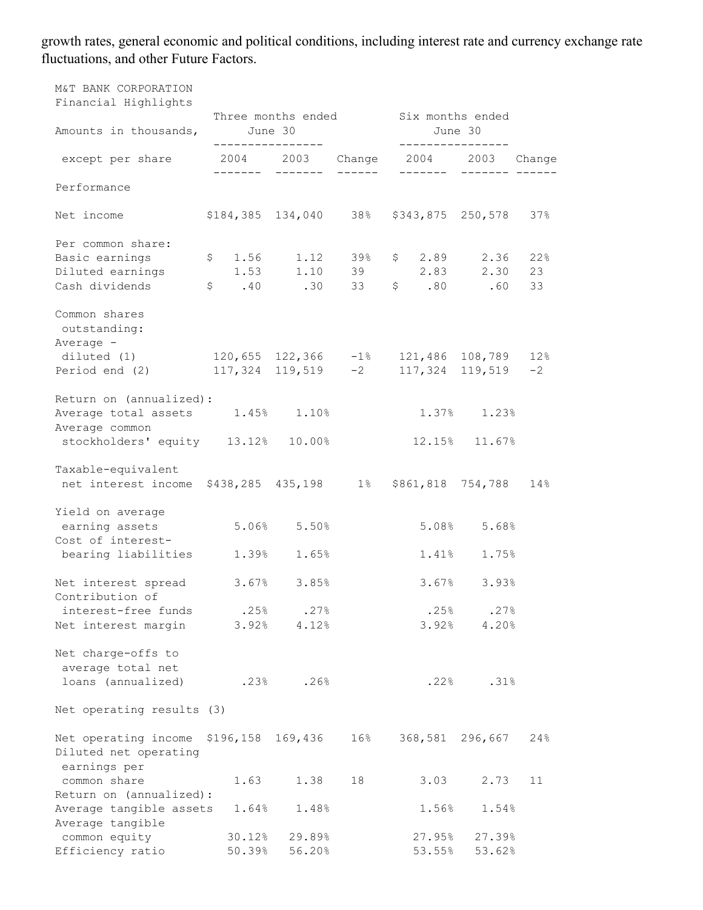growth rates, general economic and political conditions, including interest rate and currency exchange rate fluctuations, and other Future Factors.

| M&T BANK CORPORATION<br>Financial Highlights                                    |        |                        |     |                                                                         |               |      |
|---------------------------------------------------------------------------------|--------|------------------------|-----|-------------------------------------------------------------------------|---------------|------|
| Amounts in thousands,                                                           |        | June 30                |     | Three months ended Six months ended<br>June 30<br>. _ _ _ _ _ _ _ _ _ _ |               |      |
|                                                                                 |        | $- - - - - - -$        |     |                                                                         |               |      |
| Performance                                                                     |        |                        |     |                                                                         |               |      |
| Net income                                                                      |        |                        |     | \$184,385 134,040 38% \$343,875 250,578 37%                             |               |      |
| Per common share:                                                               |        |                        |     |                                                                         |               |      |
| Basic earnings                                                                  |        |                        |     | $$1.56$ $1.12$ $39\%$ $$2.89$ $2.36$ $22\%$                             |               |      |
| Diluted earnings 1.53 1.10 39 2.83 2.30 23<br>Cash dividends                    |        |                        |     | $$ 40$ $$30$ $$33$ $$ 80$ $$60$                                         |               | 33   |
|                                                                                 |        |                        |     |                                                                         |               |      |
| Common shares<br>outstanding:                                                   |        |                        |     |                                                                         |               |      |
| Average -<br>diluted (1)                                                        |        |                        |     | 120,655 122,366 -1% 121,486 108,789 12%                                 |               |      |
| Period end (2)                                                                  |        | $117,324$ $119,519$ -2 |     | 117,324 119,519                                                         |               | $-2$ |
|                                                                                 |        |                        |     |                                                                         |               |      |
| Return on (annualized):                                                         |        |                        |     |                                                                         |               |      |
| Average total assets 1.45% 1.10%                                                |        |                        |     |                                                                         | 1.37% 1.23%   |      |
| Average common                                                                  |        |                        |     |                                                                         |               |      |
| stockholders' equity 13.12% 10.00%                                              |        |                        |     |                                                                         | 12.15% 11.67% |      |
|                                                                                 |        |                        |     |                                                                         |               |      |
| Taxable-equivalent                                                              |        |                        |     |                                                                         |               |      |
| net interest income \$438,285 435,198 1% \$861,818 754,788                      |        |                        |     |                                                                         |               | 14%  |
|                                                                                 |        |                        |     |                                                                         |               |      |
| Yield on average                                                                |        |                        |     |                                                                         |               |      |
| earning assets 5.06% 5.50%                                                      |        |                        |     | 5.08%                                                                   | 5.68%         |      |
| Cost of interest-                                                               |        |                        |     |                                                                         |               |      |
| bearing liabilities 1.39%                                                       |        | 1.65%                  |     | 1.41%                                                                   | 1.75%         |      |
| Net interest spread 3.67% 3.85%                                                 |        |                        |     | 3.67%                                                                   | 3.93%         |      |
| Contribution of                                                                 |        |                        |     |                                                                         |               |      |
| interest-free funds                                                             | .25%   | .27%                   |     | .25%                                                                    | .27%          |      |
| Net interest margin                                                             | 3.92%  | 4.12%                  |     | 3.92%                                                                   | 4.20%         |      |
|                                                                                 |        |                        |     |                                                                         |               |      |
| Net charge-offs to                                                              |        |                        |     |                                                                         |               |      |
| average total net                                                               |        |                        |     |                                                                         |               |      |
| loans (annualized)                                                              | .23%   | .26%                   |     | .22%                                                                    | .31%          |      |
| Net operating results (3)                                                       |        |                        |     |                                                                         |               |      |
| Net operating income \$196,158 169,436<br>Diluted net operating<br>earnings per |        |                        | 16% | 368,581 296,667                                                         |               | 24%  |
| common share                                                                    | 1.63   | 1.38                   | 18  | 3.03                                                                    | 2.73          | 11   |
| Return on (annualized):                                                         |        |                        |     |                                                                         |               |      |
| Average tangible assets                                                         | 1.64%  | 1.48%                  |     | 1.56%                                                                   | 1.54%         |      |
| Average tangible                                                                |        |                        |     |                                                                         |               |      |
| common equity                                                                   | 30.12% | 29.89%                 |     | 27.95%                                                                  | 27.39%        |      |
| Efficiency ratio                                                                | 50.39% | 56.20%                 |     | 53.55%                                                                  | 53.62%        |      |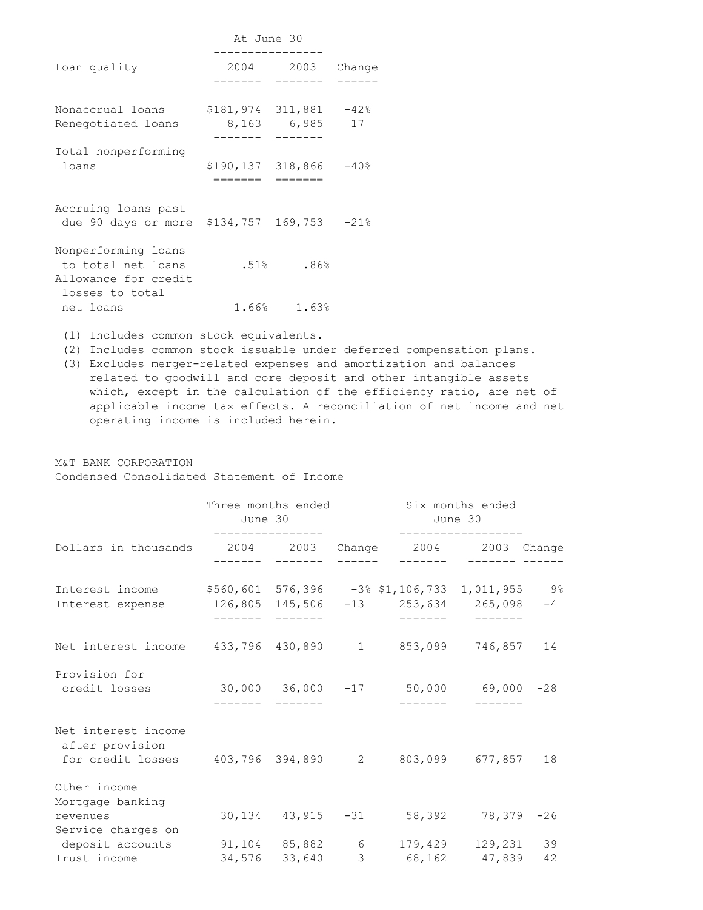|                                                                                      | At June 30        |                   |         |
|--------------------------------------------------------------------------------------|-------------------|-------------------|---------|
| Loan quality                                                                         |                   | 2004 2003         | Change  |
| Nonaccrual loans<br>Renegotiated loans                                               | \$181,974 311,881 | 8,163 6,985 17    | $-42%$  |
| Total nonperforming<br>loans                                                         | \$190,137 318,866 |                   | $-40\%$ |
| Accruing loans past<br>due 90 days or more \$134,757 169,753 -21%                    |                   |                   |         |
| Nonperforming loans<br>to total net loans<br>Allowance for credit<br>losses to total | .51%              | .86%              |         |
| net loans                                                                            |                   | $1.66\%$ $1.63\%$ |         |

(1) Includes common stock equivalents.

(2) Includes common stock issuable under deferred compensation plans.

(3) Excludes merger-related expenses and amortization and balances related to goodwill and core deposit and other intangible assets which, except in the calculation of the efficiency ratio, are net of applicable income tax effects. A reconciliation of net income and net operating income is included herein.

M&T BANK CORPORATION Condensed Consolidated Statement of Income

|                                                                                                                        | June 30                                         |  | Three months ended Six months ended<br>June 30  |      |  |
|------------------------------------------------------------------------------------------------------------------------|-------------------------------------------------|--|-------------------------------------------------|------|--|
| Dollars in thousands                                                                                                   |                                                 |  | 2004 2003 Change 2004 2003 Change               |      |  |
| Interest income \$560,601 576,396 -3% \$1,106,733 1,011,955 9%<br>Interest expense 126,805 145,506 -13 253,634 265,098 |                                                 |  |                                                 | $-4$ |  |
| Net interest income 433,796 430,890 1 853,099 746,857                                                                  |                                                 |  |                                                 | 14   |  |
| Provision for<br>credit losses                                                                                         | $30,000$ $36,000$ $-17$ $50,000$ $69,000$ $-28$ |  |                                                 |      |  |
| Net interest income<br>after provision<br>for credit losses  403,796  394,890  2  803,099  677,857                     |                                                 |  |                                                 | 18   |  |
| Other income<br>Mortgage banking<br>revenues                                                                           |                                                 |  | $30,134$ $43,915$ $-31$ $58,392$ $78,379$ $-26$ |      |  |
| Service charges on<br>deposit accounts  91,104  85,882  6  179,429  129,231  39<br>Trust income                        |                                                 |  | 34,576 33,640 3 68,162 47,839                   | 42   |  |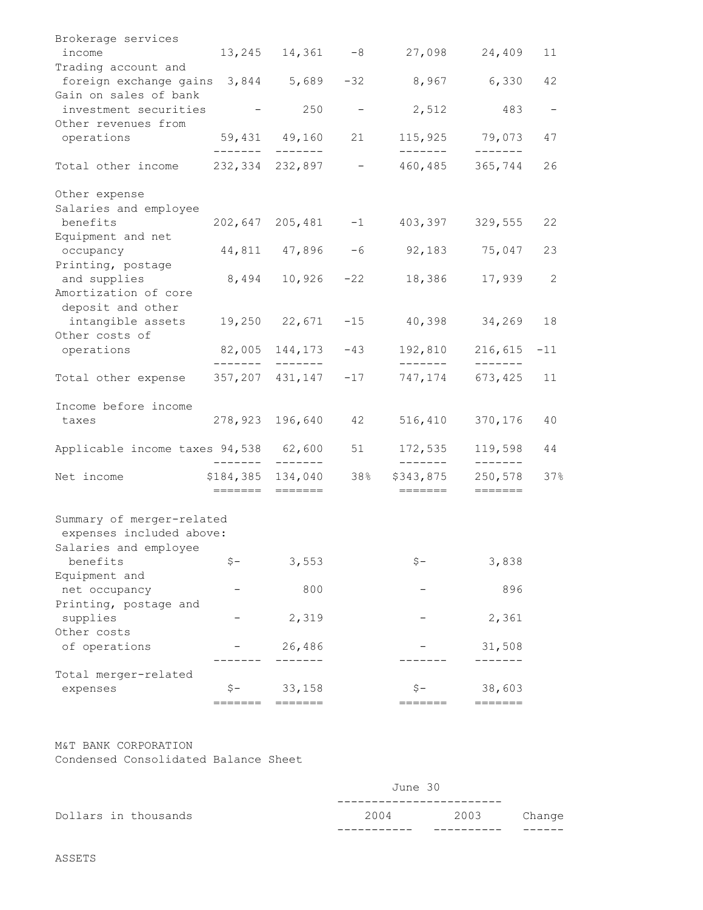| Brokerage services                     |           |                                                                                         |       |                                    |                 |                          |
|----------------------------------------|-----------|-----------------------------------------------------------------------------------------|-------|------------------------------------|-----------------|--------------------------|
| income                                 |           | 13,245 14,361                                                                           | $-8$  |                                    | 27,098 24,409   | 11                       |
| Trading account and                    |           |                                                                                         |       |                                    |                 |                          |
| foreign exchange gains 3,844 5,689 -32 |           |                                                                                         |       | 8,967 6,330                        |                 | 42                       |
| Gain on sales of bank                  |           |                                                                                         |       |                                    |                 |                          |
| investment securities                  |           | 250                                                                                     | $ \,$ | 2,512                              | 483             | $\overline{\phantom{m}}$ |
| Other revenues from                    |           |                                                                                         |       |                                    |                 |                          |
| operations                             |           | 59,431 49,160 21                                                                        |       |                                    | 115,925 79,073  | 47                       |
|                                        |           |                                                                                         |       |                                    |                 |                          |
| Total other income 232,334 232,897 -   |           |                                                                                         |       | 460,485                            | 365,744         | 26                       |
| Other expense                          |           |                                                                                         |       |                                    |                 |                          |
| Salaries and employee                  |           |                                                                                         |       |                                    |                 |                          |
| benefits                               |           |                                                                                         |       | $202,647$ $205,481$ $-1$ $403,397$ | 329,555         | 22                       |
| Equipment and net                      |           |                                                                                         |       |                                    |                 |                          |
| occupancy                              |           | 44,811 47,896                                                                           |       | $-6$ 92, 183 75, 047               |                 | 23                       |
| Printing, postage                      |           |                                                                                         |       |                                    |                 |                          |
| and supplies                           |           | 8,494 10,926                                                                            | $-22$ | 18,386                             | 17,939          | $\overline{2}$           |
| Amortization of core                   |           |                                                                                         |       |                                    |                 |                          |
| deposit and other                      |           |                                                                                         |       |                                    |                 |                          |
| intangible assets                      |           | $19,250$ $22,671$ $-15$                                                                 |       | 40,398                             | 34,269          | 18                       |
| Other costs of                         |           |                                                                                         |       |                                    |                 |                          |
| operations                             |           | 82,005 144,173                                                                          | $-43$ | 192,810                            | 216,615         | $-11$                    |
|                                        | --------  | $- - - - - - -$                                                                         |       | --------                           | $- - - - - - -$ |                          |
| Total other expense                    |           | 357,207 431,147                                                                         | $-17$ | 747,174                            | 673,425         | 11                       |
| Income before income                   |           |                                                                                         |       |                                    |                 |                          |
| taxes                                  |           | 278,923 196,640                                                                         | 42    | 516,410                            | 370,176         | 40                       |
|                                        |           |                                                                                         |       |                                    |                 |                          |
| Applicable income taxes 94,538 62,600  |           |                                                                                         | 51    | 172,535                            | 119,598         | 44                       |
|                                        |           | -------                                                                                 |       | --------                           | -------         |                          |
| Net income                             | \$184,385 | 134,040                                                                                 | 38%   | \$343,875                          | 250,578         | 37%                      |
|                                        | =======   | ________                                                                                |       | =======                            |                 |                          |
| Summary of merger-related              |           |                                                                                         |       |                                    |                 |                          |
| expenses included above:               |           |                                                                                         |       |                                    |                 |                          |
| Salaries and employee                  |           |                                                                                         |       |                                    |                 |                          |
| benefits                               | $S -$     | 3,553                                                                                   |       | $S -$                              | 3,838           |                          |
| Equipment and                          |           |                                                                                         |       |                                    |                 |                          |
| net occupancy                          |           | 800                                                                                     |       |                                    | 896             |                          |
| Printing, postage and                  |           |                                                                                         |       |                                    |                 |                          |
| supplies                               |           | 2,319                                                                                   |       |                                    | 2,361           |                          |
| Other costs                            |           |                                                                                         |       |                                    |                 |                          |
| of operations                          |           | 26,486                                                                                  |       |                                    | 31,508          |                          |
|                                        |           |                                                                                         |       |                                    |                 |                          |
| Total merger-related                   |           |                                                                                         |       |                                    |                 |                          |
| expenses                               | $$-$      | 33,158                                                                                  |       | $S -$                              | 38,603          |                          |
|                                        | =======   | $\qquad \qquad \displaystyle =\qquad \qquad \qquad \displaystyle =\qquad \qquad \qquad$ |       | =======                            | =======         |                          |

M&T BANK CORPORATION Condensed Consolidated Balance Sheet

|                      | June 30 |      |        |
|----------------------|---------|------|--------|
|                      |         |      |        |
| Dollars in thousands | 2004    | 2003 | Change |
|                      |         |      |        |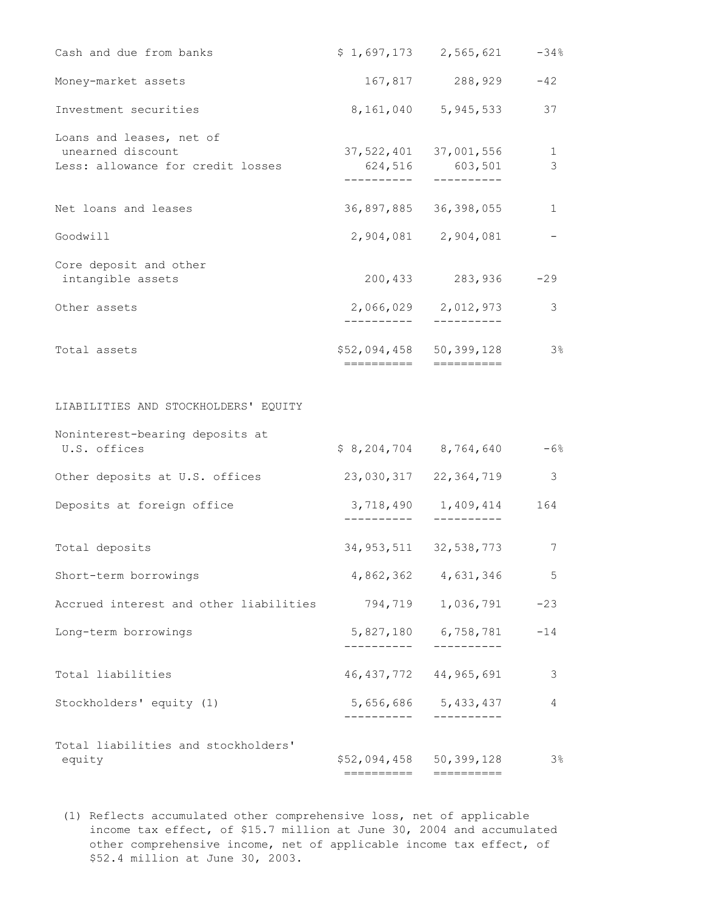| Cash and due from banks                                                            |                                     | $$1,697,173$ $2,565,621$                                                                                                                                                                                                                                                                                                                                                                                                                                                                                                                                   | $-34%$         |
|------------------------------------------------------------------------------------|-------------------------------------|------------------------------------------------------------------------------------------------------------------------------------------------------------------------------------------------------------------------------------------------------------------------------------------------------------------------------------------------------------------------------------------------------------------------------------------------------------------------------------------------------------------------------------------------------------|----------------|
| Money-market assets                                                                |                                     | 167,817 288,929                                                                                                                                                                                                                                                                                                                                                                                                                                                                                                                                            | $-42$          |
| Investment securities                                                              |                                     | 8, 161, 040 5, 945, 533                                                                                                                                                                                                                                                                                                                                                                                                                                                                                                                                    | 37             |
| Loans and leases, net of<br>unearned discount<br>Less: allowance for credit losses |                                     | 37, 522, 401 37, 001, 556<br>624,516 603,501<br>-----------                                                                                                                                                                                                                                                                                                                                                                                                                                                                                                | 1<br>3         |
| Net loans and leases                                                               |                                     | 36,897,885 36,398,055                                                                                                                                                                                                                                                                                                                                                                                                                                                                                                                                      | 1              |
| Goodwill                                                                           |                                     | 2,904,081 2,904,081                                                                                                                                                                                                                                                                                                                                                                                                                                                                                                                                        |                |
| Core deposit and other<br>intangible assets                                        | 200,433                             | 283,936                                                                                                                                                                                                                                                                                                                                                                                                                                                                                                                                                    | $-29$          |
| Other assets                                                                       |                                     | 2,066,029 2,012,973                                                                                                                                                                                                                                                                                                                                                                                                                                                                                                                                        | 3              |
| Total assets                                                                       | \$52,094,458 50,399,128<br>======== | $\begin{tabular}{ll} \multicolumn{2}{l}{{\color{red}\boldsymbol{=}}} & \multicolumn{2}{l}{\color{blue}\boldsymbol{=}} & \multicolumn{2}{l}{\color{blue}\boldsymbol{=}} & \multicolumn{2}{l}{\color{blue}\boldsymbol{=}} & \multicolumn{2}{l}{\color{blue}\boldsymbol{=}} & \multicolumn{2}{l}{\color{blue}\boldsymbol{=}} & \multicolumn{2}{l}{\color{blue}\boldsymbol{=}} & \multicolumn{2}{l}{\color{blue}\boldsymbol{=}} & \multicolumn{2}{l}{\color{blue}\boldsymbol{=}} & \multicolumn{2}{l}{\color{blue}\boldsymbol{=}} & \multicolumn{2}{l}{\color$ | $3\frac{6}{6}$ |
| LIABILITIES AND STOCKHOLDERS' EQUITY                                               |                                     |                                                                                                                                                                                                                                                                                                                                                                                                                                                                                                                                                            |                |
| Noninterest-bearing deposits at<br>U.S. offices                                    | $$8, 204, 704$ $$8, 764, 640$       |                                                                                                                                                                                                                                                                                                                                                                                                                                                                                                                                                            | $-6%$          |
| Other deposits at U.S. offices                                                     |                                     | 23,030,317 22,364,719                                                                                                                                                                                                                                                                                                                                                                                                                                                                                                                                      | 3              |
| Deposits at foreign office                                                         |                                     | 3,718,490 1,409,414<br>-----------                                                                                                                                                                                                                                                                                                                                                                                                                                                                                                                         | 164            |
| Total deposits                                                                     |                                     | 34, 953, 511 32, 538, 773                                                                                                                                                                                                                                                                                                                                                                                                                                                                                                                                  | 7              |
| Short-term borrowings                                                              |                                     | 4,862,362 4,631,346                                                                                                                                                                                                                                                                                                                                                                                                                                                                                                                                        | 5              |
| Accrued interest and other liabilities                                             | 794,719                             | 1,036,791                                                                                                                                                                                                                                                                                                                                                                                                                                                                                                                                                  | $-23$          |
| Long-term borrowings                                                               |                                     | 5,827,180 6,758,781                                                                                                                                                                                                                                                                                                                                                                                                                                                                                                                                        | $-14$          |
| Total liabilities                                                                  |                                     | 46, 437, 772 44, 965, 691                                                                                                                                                                                                                                                                                                                                                                                                                                                                                                                                  | 3              |
| Stockholders' equity (1)                                                           |                                     | 5,656,686 5,433,437                                                                                                                                                                                                                                                                                                                                                                                                                                                                                                                                        | 4              |
| Total liabilities and stockholders'<br>equity                                      | \$52,094,458 50,399,128             |                                                                                                                                                                                                                                                                                                                                                                                                                                                                                                                                                            | $3\frac{6}{6}$ |
|                                                                                    |                                     |                                                                                                                                                                                                                                                                                                                                                                                                                                                                                                                                                            |                |

(1) Reflects accumulated other comprehensive loss, net of applicable income tax effect, of \$15.7 million at June 30, 2004 and accumulated other comprehensive income, net of applicable income tax effect, of \$52.4 million at June 30, 2003.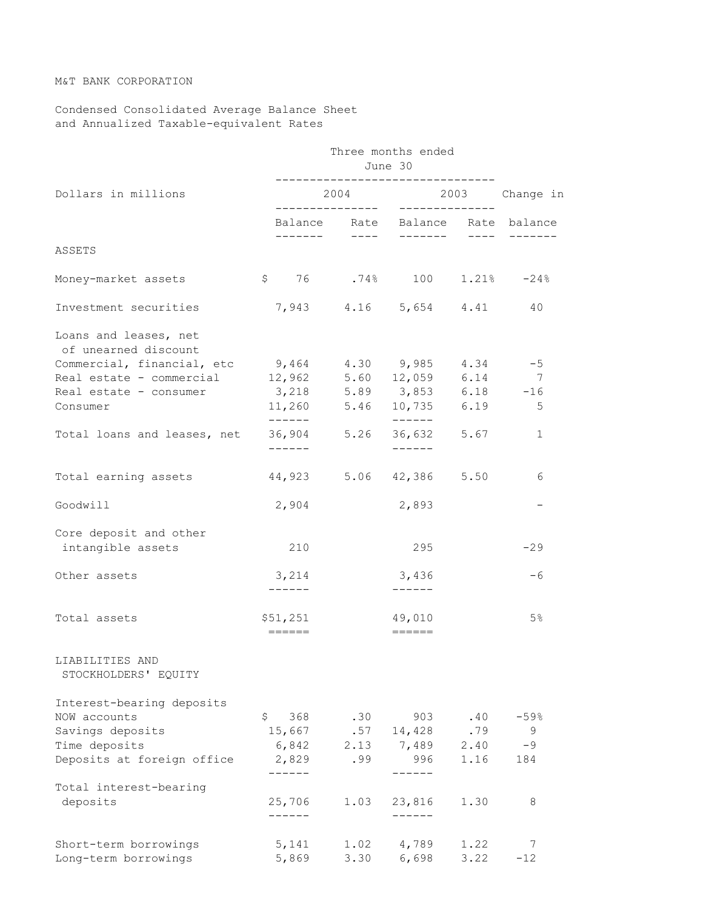## M&T BANK CORPORATION

Condensed Consolidated Average Balance Sheet and Annualized Taxable-equivalent Rates

|                                               |    |                    |              | Three months ended<br>June 30     |              |                     |
|-----------------------------------------------|----|--------------------|--------------|-----------------------------------|--------------|---------------------|
| Dollars in millions                           |    |                    |              |                                   |              | 2004 2003 Change in |
|                                               |    |                    |              | Balance Rate Balance Rate balance |              |                     |
| ASSETS                                        |    |                    |              |                                   |              |                     |
| Money-market assets                           |    |                    |              | $$76$ .74% 100 1.21% -24%         |              |                     |
| Investment securities                         |    |                    |              | 7,943 4.16 5,654 4.41             |              | 40                  |
| Loans and leases, net<br>of unearned discount |    |                    |              |                                   |              |                     |
| Commercial, financial, etc                    |    |                    |              | $9,464$ $4.30$ $9,985$ $4.34$     |              | $-5$                |
| Real estate - commercial                      |    |                    |              | 12,962 5.60 12,059 6.14           |              | $\overline{7}$      |
| Real estate - consumer                        |    |                    |              | $3,218$ 5.89 3,853 6.18 -16       |              |                     |
| Consumer                                      |    | -------            | 11,260 5.46  | 10,735 6.19<br>-------            |              | 5                   |
| Total loans and leases, net                   |    |                    | 36,904 5.26  | 36,632 5.67                       |              | $\mathbf{1}$        |
|                                               |    | -------            |              | -------                           |              |                     |
| Total earning assets                          |    |                    |              | 44,923 5.06 42,386 5.50           |              | 6                   |
| Goodwill                                      |    | 2,904              |              | 2,893                             |              |                     |
| Core deposit and other                        |    |                    |              |                                   |              |                     |
| intangible assets                             |    | 210                |              | 295                               |              | $-29$               |
| Other assets                                  |    | 3,214<br>------    |              | 3,436<br>$- - - - - -$            |              | -6                  |
| Total assets                                  |    | \$51,251<br>====== |              | 49,010<br>$= = = = = = =$         |              | $5\frac{6}{6}$      |
| LIABILITIES AND<br>STOCKHOLDERS' EQUITY       |    |                    |              |                                   |              |                     |
| Interest-bearing deposits                     |    |                    |              |                                   |              |                     |
| NOW accounts                                  | \$ | 368                | .30          | 903                               | .40          | $-59%$              |
| Savings deposits                              |    | 15,667             | .57          | 14,428                            | .79          | 9                   |
| Time deposits                                 |    | 6,842              | 2.13         | 7,489                             | 2.40         | $-9$                |
| Deposits at foreign office                    |    | 2,829<br>------    | .99          | 996<br>------                     | 1.16         | 184                 |
| Total interest-bearing                        |    |                    |              |                                   |              |                     |
| deposits                                      |    | 25,706             | 1.03         | 23,816                            | 1.30         | 8                   |
|                                               |    |                    |              |                                   |              |                     |
| Short-term borrowings<br>Long-term borrowings |    | 5,141<br>5,869     | 1.02<br>3.30 | 4,789<br>6,698                    | 1.22<br>3.22 | 7<br>$-12$          |
|                                               |    |                    |              |                                   |              |                     |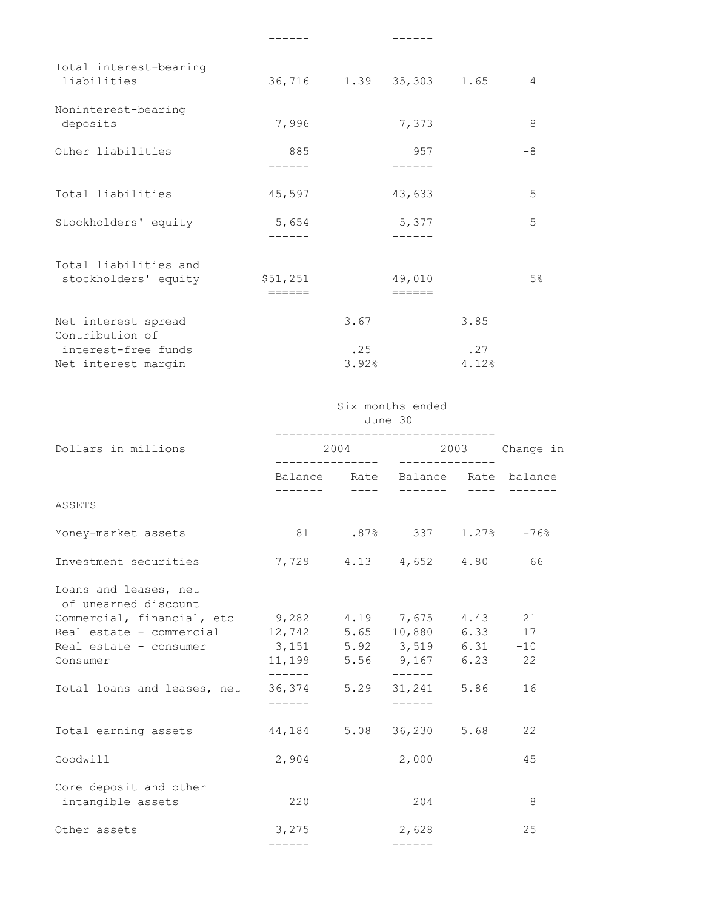|                 |                      |        |                      | 4                       |
|-----------------|----------------------|--------|----------------------|-------------------------|
| 7,996           |                      | 7,373  |                      | 8                       |
| 885             |                      | 957    |                      | $-8$                    |
| 45,597          |                      | 43,633 |                      | 5                       |
| 5,654<br>------ |                      | 5,377  |                      | 5                       |
| \$51,251        |                      | 49,010 |                      | $5\%$                   |
|                 | 3.67<br>.25<br>3.92% |        | 3.85<br>.27<br>4.12% |                         |
|                 |                      |        |                      | 36,716 1.39 35,303 1.65 |

------ ------

|                                                     |                                     | Six months ended<br>June 30          |    |
|-----------------------------------------------------|-------------------------------------|--------------------------------------|----|
| Dollars in millions                                 |                                     | 2004 2003 Change in                  |    |
|                                                     |                                     | Balance Rate Balance Rate balance    |    |
| ASSETS                                              |                                     | ________________                     |    |
| Money-market assets                                 |                                     | 81 .87% 337 1.27% -76%               |    |
| Investment securities                               |                                     | 7,729 4.13 4,652 4.80 66             |    |
| Loans and leases, net<br>of unearned discount       |                                     |                                      |    |
| Commercial, financial, etc 9,282 4.19 7,675 4.43 21 |                                     |                                      |    |
| Real estate - commercial 12,742 5.65 10,880 6.33 17 |                                     |                                      |    |
| Real estate - consumer                              | $3,151$ $5.92$ $3,519$ $6.31$ $-10$ |                                      |    |
| Consumer                                            | -------                             | 11,199 5.56 9,167 6.23 22<br>------- |    |
| Total loans and leases, net 36,374 5.29 31,241 5.86 | -------                             | $- - - - - -$                        | 16 |
| Total earning assets                                | 44,184 5.08 36,230 5.68             |                                      | 22 |
| Goodwill                                            | 2,904                               | 2,000                                | 45 |
| Core deposit and other                              |                                     |                                      |    |
| intangible assets                                   | 220                                 | 204                                  | 8  |
| Other assets                                        | 3,275                               | 2,628                                | 25 |